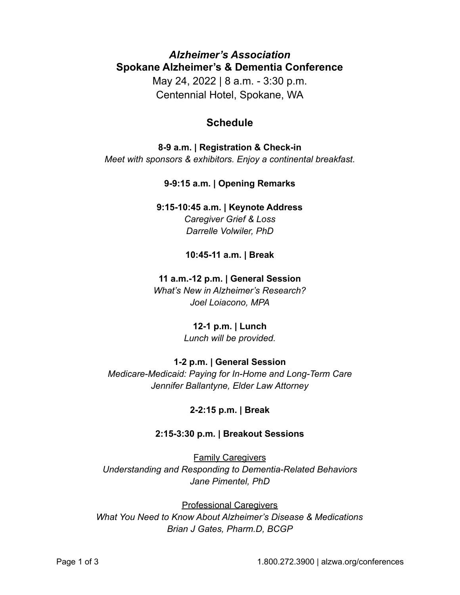# *Alzheimer's Association* **Spokane Alzheimer's & Dementia Conference**

May 24, 2022 | 8 a.m. - 3:30 p.m. Centennial Hotel, Spokane, WA

# **Schedule**

**8-9 a.m. | Registration & Check-in** *Meet with sponsors & exhibitors. Enjoy a continental breakfast.*

**9-9:15 a.m. | Opening Remarks**

**9:15-10:45 a.m. | Keynote Address** *Caregiver Grief & Loss Darrelle Volwiler, PhD*

**10:45-11 a.m. | Break**

### **11 a.m.-12 p.m. | General Session**

*What's New in Alzheimer's Research? Joel Loiacono, MPA*

# **12-1 p.m. | Lunch**

*Lunch will be provided.*

# **1-2 p.m. | General Session**

*Medicare-Medicaid: Paying for In-Home and Long-Term Care Jennifer Ballantyne, Elder Law Attorney*

# **2-2:15 p.m. | Break**

# **2:15-3:30 p.m. | Breakout Sessions**

**Family Caregivers** *Understanding and Responding to Dementia-Related Behaviors Jane Pimentel, PhD*

Professional Caregivers *What You Need to Know About Alzheimer's Disease & Medications Brian J Gates, Pharm.D, BCGP*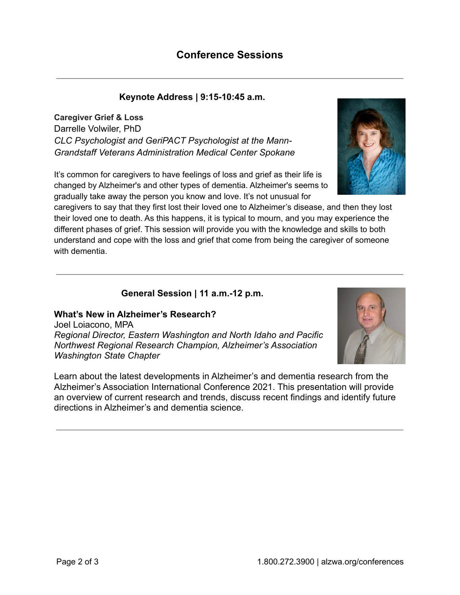### **Keynote Address | 9:15-10:45 a.m.**

**Caregiver Grief & Loss** Darrelle Volwiler, PhD *CLC Psychologist and GeriPACT Psychologist at the Mann-Grandstaff Veterans Administration Medical Center Spokane*

It's common for caregivers to have feelings of loss and grief as their life is changed by Alzheimer's and other types of dementia. Alzheimer's seems to gradually take away the person you know and love. It's not unusual for

caregivers to say that they first lost their loved one to Alzheimer's disease, and then they lost their loved one to death. As this happens, it is typical to mourn, and you may experience the different phases of grief. This session will provide you with the knowledge and skills to both understand and cope with the loss and grief that come from being the caregiver of someone with dementia.

### **General Session | 11 a.m.-12 p.m.**

**What's New in Alzheimer's Research?** Joel Loiacono, MPA *Regional Director, Eastern Washington and North Idaho and Pacific Northwest Regional Research Champion, Alzheimer's Association Washington State Chapter*

Learn about the latest developments in Alzheimer's and dementia research from the Alzheimer's Association International Conference 2021. This presentation will provide an overview of current research and trends, discuss recent findings and identify future directions in Alzheimer's and dementia science.